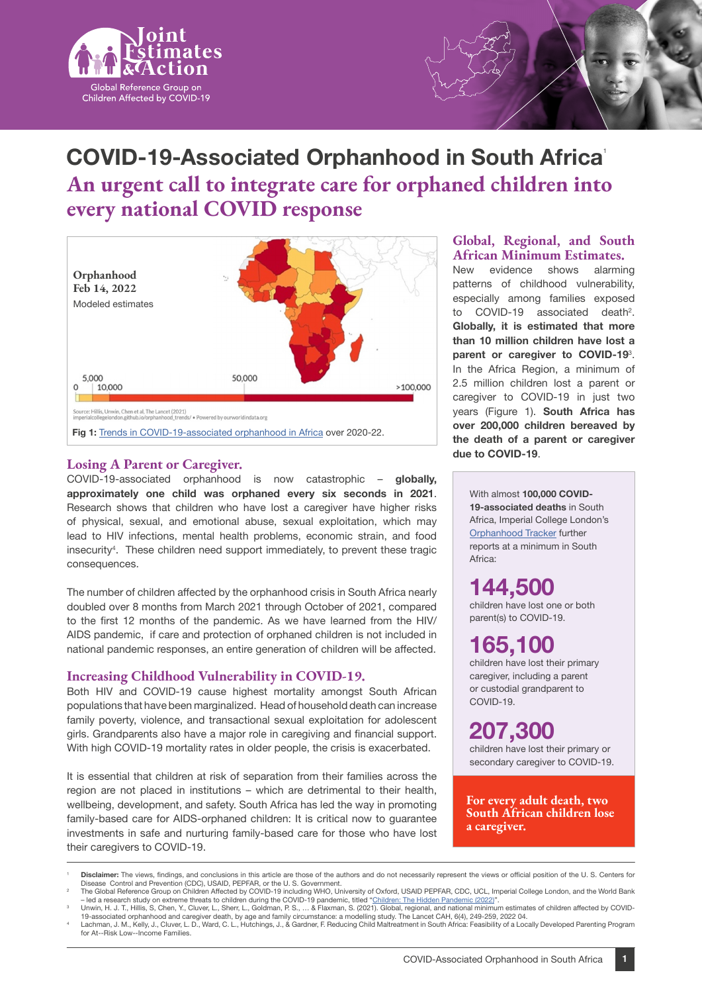

# **COVID-19-Associated Orphanhood in South Africa**<sup>1</sup> **An urgent call to integrate care for orphaned children into every national COVID response**



#### **Losing A Parent or Caregiver.**

COVID-19-associated orphanhood is now catastrophic – **globally, approximately one child was orphaned every six seconds in 2021**. Research shows that children who have lost a caregiver have higher risks of physical, sexual, and emotional abuse, sexual exploitation, which may lead to HIV infections, mental health problems, economic strain, and food insecurity<sup>4</sup>. These children need support immediately, to prevent these tragic consequences.

The number of children affected by the orphanhood crisis in South Africa nearly doubled over 8 months from March 2021 through October of 2021, compared to the first 12 months of the pandemic. As we have learned from the HIV/ AIDS pandemic, if care and protection of orphaned children is not included in national pandemic responses, an entire generation of children will be affected.

#### **Increasing Childhood Vulnerability in COVID-19.**

Both HIV and COVID-19 cause highest mortality amongst South African populations that have been marginalized. Head of household death can increase family poverty, violence, and transactional sexual exploitation for adolescent girls. Grandparents also have a major role in caregiving and financial support. With high COVID-19 mortality rates in older people, the crisis is exacerbated.

It is essential that children at risk of separation from their families across the region are not placed in institutions – which are detrimental to their health, wellbeing, development, and safety. South Africa has led the way in promoting family-based care for AIDS-orphaned children: It is critical now to guarantee investments in safe and nurturing family-based care for those who have lost their caregivers to COVID-19.

#### **Global, Regional, and South African Minimum Estimates.**

New evidence shows alarming patterns of childhood vulnerability, especially among families exposed to COVID-19 associated death<sup>2</sup>. **Globally, it is estimated that more than 10 million children have lost a parent or caregiver to COVID-19**<sup>3</sup> . In the Africa Region, a minimum of 2.5 million children lost a parent or caregiver to COVID-19 in just two years (Figure 1). **South Africa has over 200,000 children bereaved by the death of a parent or caregiver due to COVID-19**.

With almost **100,000 COVID-19-associated deaths** in South Africa, Imperial College London's [Orphanhood Tracker](https://imperialcollegelondon.github.io/orphanhood_calculator/#/country/Global) further reports at a minimum in South Africa:

**144,500**  children have lost one or both

parent(s) to COVID-19.

## **165,100**

children have lost their primary caregiver, including a parent or custodial grandparent to COVID-19.

**207,300**  children have lost their primary or secondary caregiver to COVID-19.

**For every adult death, two South African children lose a caregiver.** 

<sup>&#</sup>x27; Disclaimer: The views, findings, and conclusions in this article are those of the authors and do not necessarily represent the views or official position of the U. S. Centers for<br>Disease Control and Prevention (CDC), US

led a research study on extreme threats to children during the COVID-19 pandemic, titled "<u>[Children: The Hidden Pandemic \(2022\)](https://www.spi.ox.ac.uk/sites/default/files/spi/documents/media/hidden_pandemic_report.pdf)</u>".<br>Unwin, H. J. T., Hillis, S, Chen, Y., Cluver, L., Sherr, L., Goldman, P. S., … & Flaxman, S

Lachman, J. M., Kelly, J., Cluver, L. D., Ward, C. L., Hutchings, J., & Gardner, F. Reducing Child Maltreatment in South Africa: Feasibility of a Locally Developed Parenting Program

for At--Risk Low--Income Families.